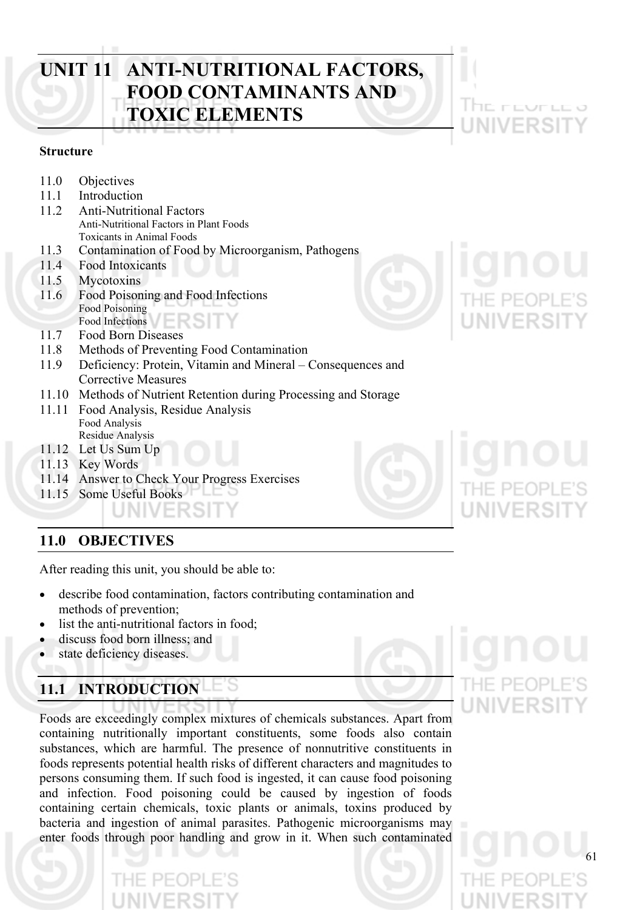# **UNIT 11 ANTI-NUTRITIONAL FACTORS, FOOD CONTAMINANTS AND TOXIC ELEMENTS**

# **Structure**

- 11.0 Objectives
- 11.1 Introduction
- 11.2 Anti-Nutritional Factors Anti-Nutritional Factors in Plant Foods Toxicants in Animal Foods
- 11.3 Contamination of Food by Microorganism, Pathogens
- 11.4 Food Intoxicants
- 11.5 Mycotoxins
- 11.6 Food Poisoning and Food Infections Food Poisoning
- Food Infections
- 11.7 Food Born Diseases
- 11.8 Methods of Preventing Food Contamination
- 11.9 Deficiency: Protein, Vitamin and Mineral Consequences and Corrective Measures
- 11.10 Methods of Nutrient Retention during Processing and Storage
- 11.11 Food Analysis, Residue Analysis Food Analysis Residue Analysis
- 11.12 Let Us Sum Up
- 11.13 Key Words
- 11.14 Answer to Check Your Progress Exercises
- 11.15 Some Useful Books

# **11.0 OBJECTIVES**

After reading this unit, you should be able to:

- describe food contamination, factors contributing contamination and methods of prevention;
- list the anti-nutritional factors in food;
- discuss food born illness; and
- state deficiency diseases.

# **11.1 INTRODUCTION**

Foods are exceedingly complex mixtures of chemicals substances. Apart from containing nutritionally important constituents, some foods also contain substances, which are harmful. The presence of nonnutritive constituents in foods represents potential health risks of different characters and magnitudes to persons consuming them. If such food is ingested, it can cause food poisoning and infection. Food poisoning could be caused by ingestion of foods containing certain chemicals, toxic plants or animals, toxins produced by bacteria and ingestion of animal parasites. Pathogenic microorganisms may enter foods through poor handling and grow in it. When such contaminated





l helindunun



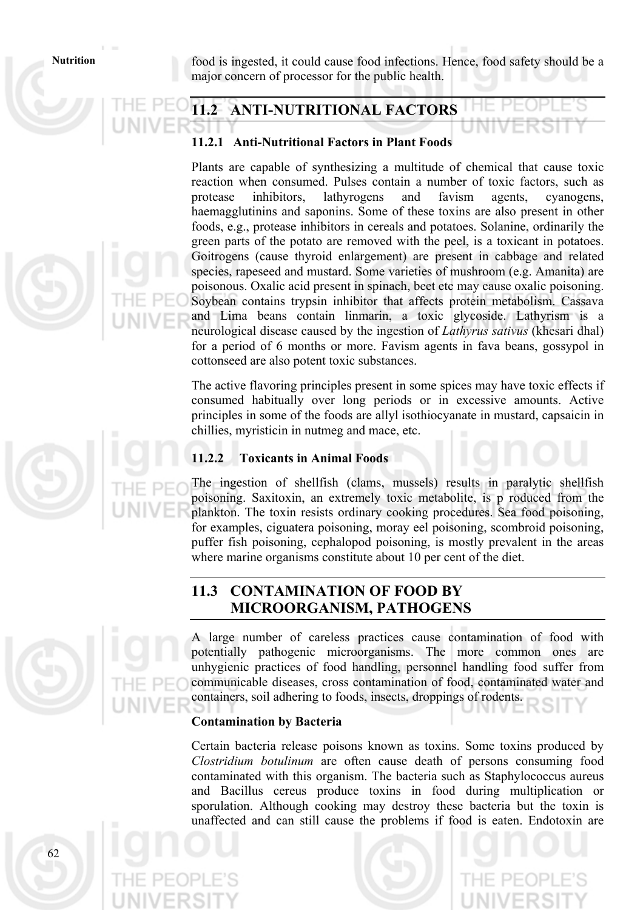Nutrition **food** is ingested, it could cause food infections. Hence, food safety should be a major concern of processor for the public health.

# **11.2 ANTI-NUTRITIONAL FACTORS**

### **11.2.1 Anti-Nutritional Factors in Plant Foods**

Plants are capable of synthesizing a multitude of chemical that cause toxic reaction when consumed. Pulses contain a number of toxic factors, such as protease inhibitors, lathyrogens and favism agents, cyanogens, haemagglutinins and saponins. Some of these toxins are also present in other foods, e.g., protease inhibitors in cereals and potatoes. Solanine, ordinarily the green parts of the potato are removed with the peel, is a toxicant in potatoes. Goitrogens (cause thyroid enlargement) are present in cabbage and related species, rapeseed and mustard. Some varieties of mushroom (e.g. Amanita) are poisonous. Oxalic acid present in spinach, beet etc may cause oxalic poisoning. Soybean contains trypsin inhibitor that affects protein metabolism. Cassava and Lima beans contain linmarin, a toxic glycoside. Lathyrism is a neurological disease caused by the ingestion of *Lathyrus sativus* (khesari dhal) for a period of 6 months or more. Favism agents in fava beans, gossypol in cottonseed are also potent toxic substances.

The active flavoring principles present in some spices may have toxic effects if consumed habitually over long periods or in excessive amounts. Active principles in some of the foods are allyl isothiocyanate in mustard, capsaicin in chillies, myristicin in nutmeg and mace, etc.

# **11.2.2 Toxicants in Animal Foods**

The ingestion of shellfish (clams, mussels) results in paralytic shellfish poisoning. Saxitoxin, an extremely toxic metabolite, is p roduced from the plankton. The toxin resists ordinary cooking procedures. Sea food poisoning, for examples, ciguatera poisoning, moray eel poisoning, scombroid poisoning, puffer fish poisoning, cephalopod poisoning, is mostly prevalent in the areas where marine organisms constitute about 10 per cent of the diet.

# **11.3 CONTAMINATION OF FOOD BY MICROORGANISM, PATHOGENS**

A large number of careless practices cause contamination of food with potentially pathogenic microorganisms. The more common ones are unhygienic practices of food handling, personnel handling food suffer from communicable diseases, cross contamination of food, contaminated water and containers, soil adhering to foods, insects, droppings of rodents.

### **Contamination by Bacteria**

Certain bacteria release poisons known as toxins. Some toxins produced by *Clostridium botulinum* are often cause death of persons consuming food contaminated with this organism. The bacteria such as Staphylococcus aureus and Bacillus cereus produce toxins in food during multiplication or sporulation. Although cooking may destroy these bacteria but the toxin is unaffected and can still cause the problems if food is eaten. Endotoxin are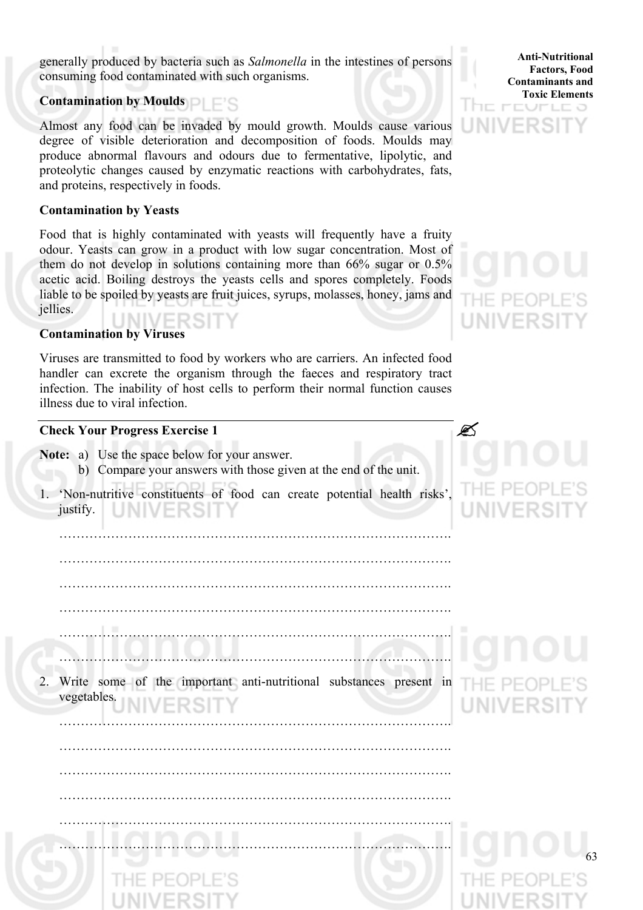generally produced by bacteria such as *Salmonella* in the intestines of persons consuming food contaminated with such organisms.

# **Contamination by Moulds**

Almost any food can be invaded by mould growth. Moulds cause various degree of visible deterioration and decomposition of foods. Moulds may produce abnormal flavours and odours due to fermentative, lipolytic, and proteolytic changes caused by enzymatic reactions with carbohydrates, fats, and proteins, respectively in foods.

# **Contamination by Yeasts**

Food that is highly contaminated with yeasts will frequently have a fruity odour. Yeasts can grow in a product with low sugar concentration. Most of them do not develop in solutions containing more than 66% sugar or 0.5% acetic acid. Boiling destroys the yeasts cells and spores completely. Foods liable to be spoiled by yeasts are fruit juices, syrups, molasses, honey, jams and jellies. INIVER

### **Contamination by Viruses**

Viruses are transmitted to food by workers who are carriers. An infected food handler can excrete the organism through the faeces and respiratory tract infection. The inability of host cells to perform their normal function causes illness due to viral infection.

### **Check Your Progress Exercise 1**

- **Note:** a) Use the space below for your answer.
	- b) Compare your answers with those given at the end of the unit.
- 1. 'Non-nutritive constituents of food can create potential health risks', justify.

……………………………………………………………………………….

 ………………………………………………………………………………. ………………………………………………………………………………. ………………………………………………………………………………. ……………………………………………………………………………….

2. Write some of the important anti-nutritional substances present in vegetables.

……………………………………………………………………………….

……………………………………………………………………………….

……………………………………………………………………………….

……………………………………………………………………………….

……………………………………………………………………………….

……………………………………………………………………………….

### **Anti-Nutritional Factors, Food Contaminants and Toxic Elements** IE PEUPLE 3

**LINIVERS** 

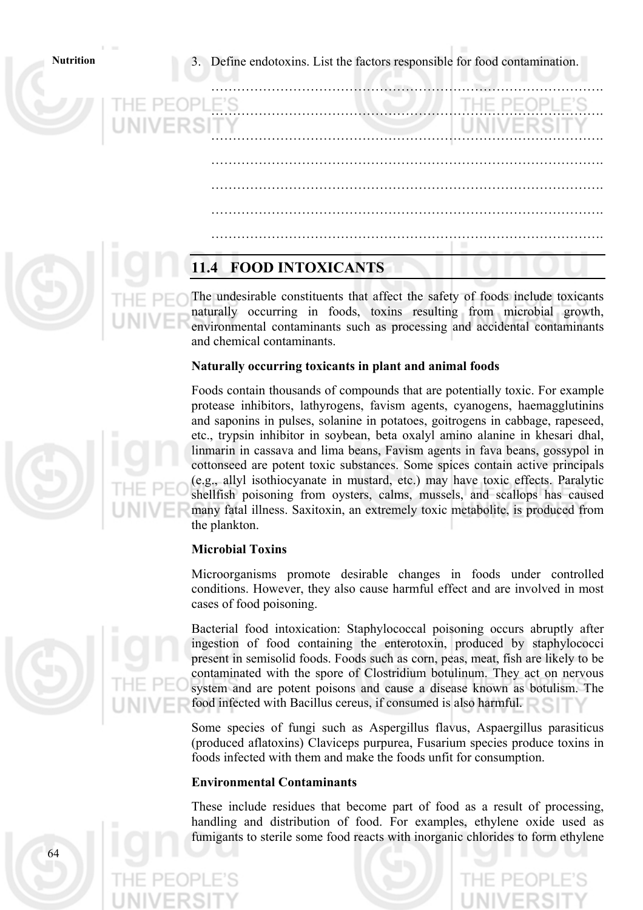**Nutrition** 3. Define endotoxins. List the factors responsible for food contamination.

……………………………………………………………………………….

……………………………………………………………………………….

……………………………………………………………………………….

……………………………………………………………………………….

……………………………………………………………………………….

……………………………………………………………………………….

……………………………………………………………………………….

# **11.4 FOOD INTOXICANTS**

The undesirable constituents that affect the safety of foods include toxicants naturally occurring in foods, toxins resulting from microbial growth, environmental contaminants such as processing and accidental contaminants and chemical contaminants.

# **Naturally occurring toxicants in plant and animal foods**

Foods contain thousands of compounds that are potentially toxic. For example protease inhibitors, lathyrogens, favism agents, cyanogens, haemagglutinins and saponins in pulses, solanine in potatoes, goitrogens in cabbage, rapeseed, etc., trypsin inhibitor in soybean, beta oxalyl amino alanine in khesari dhal, linmarin in cassava and lima beans, Favism agents in fava beans, gossypol in cottonseed are potent toxic substances. Some spices contain active principals (e.g., allyl isothiocyanate in mustard, etc.) may have toxic effects. Paralytic shellfish poisoning from oysters, calms, mussels, and scallops has caused many fatal illness. Saxitoxin, an extremely toxic metabolite, is produced from the plankton.

# **Microbial Toxins**

Microorganisms promote desirable changes in foods under controlled conditions. However, they also cause harmful effect and are involved in most cases of food poisoning.

Bacterial food intoxication: Staphylococcal poisoning occurs abruptly after ingestion of food containing the enterotoxin, produced by staphylococci present in semisolid foods. Foods such as corn, peas, meat, fish are likely to be contaminated with the spore of Clostridium botulinum. They act on nervous system and are potent poisons and cause a disease known as botulism. The food infected with Bacillus cereus, if consumed is also harmful.

Some species of fungi such as Aspergillus flavus, Aspaergillus parasiticus (produced aflatoxins) Claviceps purpurea, Fusarium species produce toxins in foods infected with them and make the foods unfit for consumption.

### **Environmental Contaminants**

These include residues that become part of food as a result of processing, handling and distribution of food. For examples, ethylene oxide used as fumigants to sterile some food reacts with inorganic chlorides to form ethylene



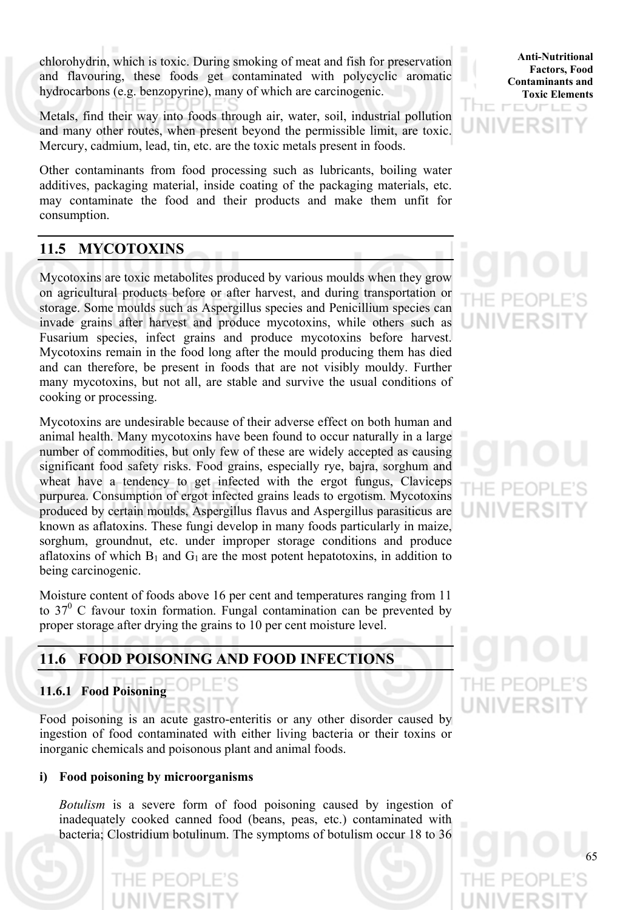chlorohydrin, which is toxic. During smoking of meat and fish for preservation and flavouring, these foods get contaminated with polycyclic aromatic hydrocarbons (e.g. benzopyrine), many of which are carcinogenic.

Metals, find their way into foods through air, water, soil, industrial pollution and many other routes, when present beyond the permissible limit, are toxic. Mercury, cadmium, lead, tin, etc. are the toxic metals present in foods.

Other contaminants from food processing such as lubricants, boiling water additives, packaging material, inside coating of the packaging materials, etc. may contaminate the food and their products and make them unfit for consumption.

# **11.5 MYCOTOXINS**

Mycotoxins are toxic metabolites produced by various moulds when they grow on agricultural products before or after harvest, and during transportation or storage. Some moulds such as Aspergillus species and Penicillium species can invade grains after harvest and produce mycotoxins, while others such as Fusarium species, infect grains and produce mycotoxins before harvest. Mycotoxins remain in the food long after the mould producing them has died and can therefore, be present in foods that are not visibly mouldy. Further many mycotoxins, but not all, are stable and survive the usual conditions of cooking or processing.

Mycotoxins are undesirable because of their adverse effect on both human and animal health. Many mycotoxins have been found to occur naturally in a large number of commodities, but only few of these are widely accepted as causing significant food safety risks. Food grains, especially rye, bajra, sorghum and wheat have a tendency to get infected with the ergot fungus, Claviceps purpurea. Consumption of ergot infected grains leads to ergotism. Mycotoxins produced by certain moulds, Aspergillus flavus and Aspergillus parasiticus are known as aflatoxins. These fungi develop in many foods particularly in maize, sorghum, groundnut, etc. under improper storage conditions and produce aflatoxins of which  $B_1$  and  $G_1$  are the most potent hepatotoxins, in addition to being carcinogenic.

Moisture content of foods above 16 per cent and temperatures ranging from 11 to  $37^{\circ}$  C favour toxin formation. Fungal contamination can be prevented by proper storage after drying the grains to 10 per cent moisture level.

# **11.6 FOOD POISONING AND FOOD INFECTIONS**

# **11.6.1 Food Poisoning**

Food poisoning is an acute gastro-enteritis or any other disorder caused by ingestion of food contaminated with either living bacteria or their toxins or inorganic chemicals and poisonous plant and animal foods.

# **i) Food poisoning by microorganisms**

*Botulism* is a severe form of food poisoning caused by ingestion of inadequately cooked canned food (beans, peas, etc.) contaminated with bacteria; Clostridium botulinum. The symptoms of botulism occur 18 to 36

**Anti-Nutritional Factors, Food Contaminants and Toxic Elements**

アニロコ



 $H = P - P$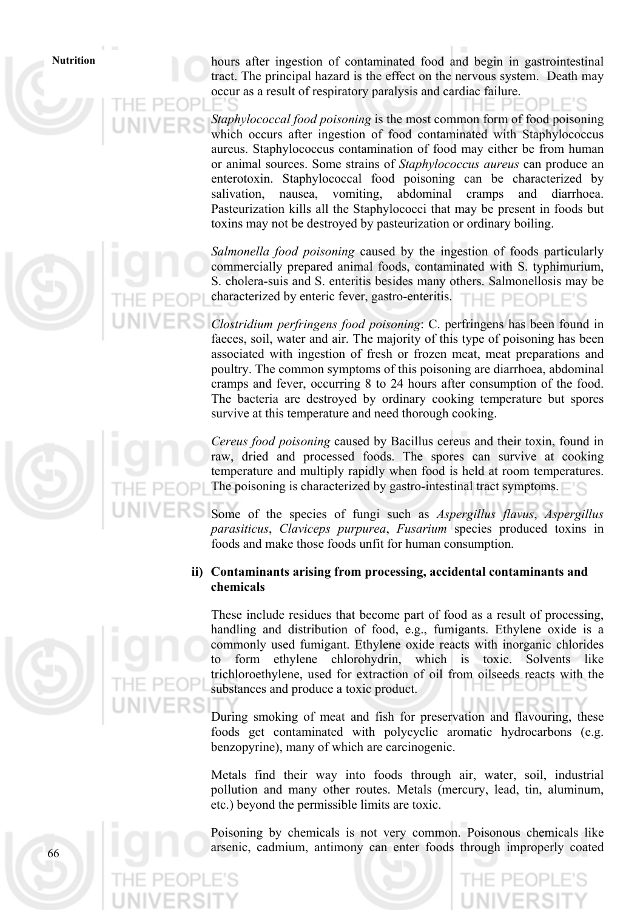**Nutrition** hours after ingestion of contaminated food and begin in gastrointestinal tract. The principal hazard is the effect on the nervous system. Death may occur as a result of respiratory paralysis and cardiac failure.

> *Staphylococcal food poisoning* is the most common form of food poisoning which occurs after ingestion of food contaminated with Staphylococcus aureus. Staphylococcus contamination of food may either be from human or animal sources. Some strains of *Staphylococcus aureus* can produce an enterotoxin. Staphylococcal food poisoning can be characterized by salivation, nausea, vomiting, abdominal cramps and diarrhoea. Pasteurization kills all the Staphylococci that may be present in foods but toxins may not be destroyed by pasteurization or ordinary boiling.

> *Salmonella food poisoning* caused by the ingestion of foods particularly commercially prepared animal foods, contaminated with S. typhimurium, S. cholera-suis and S. enteritis besides many others. Salmonellosis may be characterized by enteric fever, gastro-enteritis. HE PEOPLE'S

> *Clostridium perfringens food poisoning*: C. perfringens has been found in faeces, soil, water and air. The majority of this type of poisoning has been associated with ingestion of fresh or frozen meat, meat preparations and poultry. The common symptoms of this poisoning are diarrhoea, abdominal cramps and fever, occurring 8 to 24 hours after consumption of the food. The bacteria are destroyed by ordinary cooking temperature but spores survive at this temperature and need thorough cooking.

> *Cereus food poisoning* caused by Bacillus cereus and their toxin, found in raw, dried and processed foods. The spores can survive at cooking temperature and multiply rapidly when food is held at room temperatures. The poisoning is characterized by gastro-intestinal tract symptoms.

> Some of the species of fungi such as *Aspergillus flavus*, *Aspergillus parasiticus*, *Claviceps purpurea*, *Fusarium* species produced toxins in foods and make those foods unfit for human consumption.

# **ii) Contaminants arising from processing, accidental contaminants and chemicals**

 These include residues that become part of food as a result of processing, handling and distribution of food, e.g., fumigants. Ethylene oxide is a commonly used fumigant. Ethylene oxide reacts with inorganic chlorides to form ethylene chlorohydrin, which is toxic. Solvents like trichloroethylene, used for extraction of oil from oilseeds reacts with the substances and produce a toxic product.

 During smoking of meat and fish for preservation and flavouring, these foods get contaminated with polycyclic aromatic hydrocarbons (e.g. benzopyrine), many of which are carcinogenic.

 Metals find their way into foods through air, water, soil, industrial pollution and many other routes. Metals (mercury, lead, tin, aluminum, etc.) beyond the permissible limits are toxic.

Poisoning by chemicals is not very common. Poisonous chemicals like arsenic, cadmium, antimony can enter foods through improperly coated

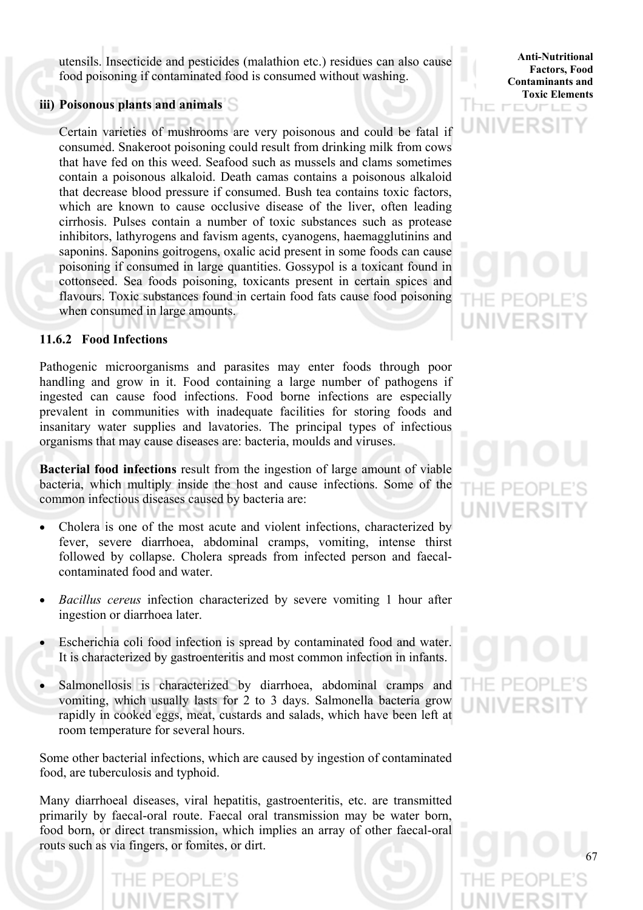utensils. Insecticide and pesticides (malathion etc.) residues can also cause food poisoning if contaminated food is consumed without washing.

### **iii) Poisonous plants and animals**

Certain varieties of mushrooms are very poisonous and could be fatal if consumed. Snakeroot poisoning could result from drinking milk from cows that have fed on this weed. Seafood such as mussels and clams sometimes contain a poisonous alkaloid. Death camas contains a poisonous alkaloid that decrease blood pressure if consumed. Bush tea contains toxic factors, which are known to cause occlusive disease of the liver, often leading cirrhosis. Pulses contain a number of toxic substances such as protease inhibitors, lathyrogens and favism agents, cyanogens, haemagglutinins and saponins. Saponins goitrogens, oxalic acid present in some foods can cause poisoning if consumed in large quantities. Gossypol is a toxicant found in cottonseed. Sea foods poisoning, toxicants present in certain spices and flavours. Toxic substances found in certain food fats cause food poisoning when consumed in large amounts.

# **11.6.2 Food Infections**

Pathogenic microorganisms and parasites may enter foods through poor handling and grow in it. Food containing a large number of pathogens if ingested can cause food infections. Food borne infections are especially prevalent in communities with inadequate facilities for storing foods and insanitary water supplies and lavatories. The principal types of infectious organisms that may cause diseases are: bacteria, moulds and viruses.

**Bacterial food infections** result from the ingestion of large amount of viable bacteria, which multiply inside the host and cause infections. Some of the common infectious diseases caused by bacteria are:

- Cholera is one of the most acute and violent infections, characterized by fever, severe diarrhoea, abdominal cramps, vomiting, intense thirst followed by collapse. Cholera spreads from infected person and faecalcontaminated food and water.
- *Bacillus cereus* infection characterized by severe vomiting 1 hour after ingestion or diarrhoea later.
- Escherichia coli food infection is spread by contaminated food and water. It is characterized by gastroenteritis and most common infection in infants.
- Salmonellosis is characterized by diarrhoea, abdominal cramps and vomiting, which usually lasts for 2 to 3 days. Salmonella bacteria grow rapidly in cooked eggs, meat, custards and salads, which have been left at room temperature for several hours.

Some other bacterial infections, which are caused by ingestion of contaminated food, are tuberculosis and typhoid.

Many diarrhoeal diseases, viral hepatitis, gastroenteritis, etc. are transmitted primarily by faecal-oral route. Faecal oral transmission may be water born, food born, or direct transmission, which implies an array of other faecal-oral routs such as via fingers, or fomites, or dirt.

**Anti-Nutritional Factors, Food Contaminants and Toxic Elements** 

UNIVERSI

# $P-F$



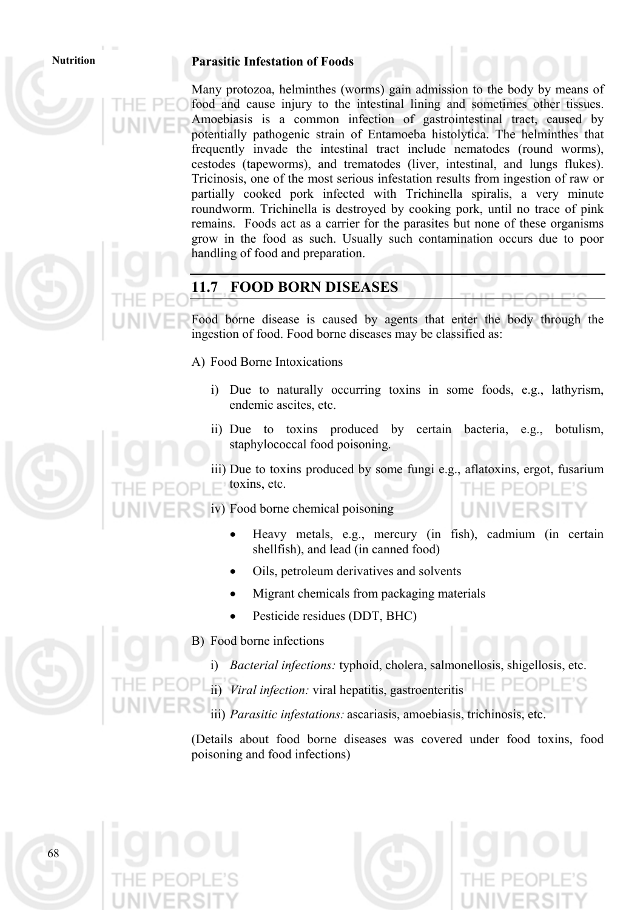### **Nutrition Parasitic Infestation of Foods**

Many protozoa, helminthes (worms) gain admission to the body by means of food and cause injury to the intestinal lining and sometimes other tissues. Amoebiasis is a common infection of gastrointestinal tract, caused by potentially pathogenic strain of Entamoeba histolytica. The helminthes that frequently invade the intestinal tract include nematodes (round worms), cestodes (tapeworms), and trematodes (liver, intestinal, and lungs flukes). Tricinosis, one of the most serious infestation results from ingestion of raw or partially cooked pork infected with Trichinella spiralis, a very minute roundworm. Trichinella is destroyed by cooking pork, until no trace of pink remains. Foods act as a carrier for the parasites but none of these organisms grow in the food as such. Usually such contamination occurs due to poor handling of food and preparation.

# **11.7 FOOD BORN DISEASES**

Food borne disease is caused by agents that enter the body through the ingestion of food. Food borne diseases may be classified as:

A) Food Borne Intoxications

- i) Due to naturally occurring toxins in some foods, e.g., lathyrism, endemic ascites, etc.
- ii) Due to toxins produced by certain bacteria, e.g., botulism, staphylococcal food poisoning.

iii) Due to toxins produced by some fungi e.g., aflatoxins, ergot, fusarium toxins, etc.

iv) Food borne chemical poisoning

- Heavy metals, e.g., mercury (in fish), cadmium (in certain shellfish), and lead (in canned food)
- Oils, petroleum derivatives and solvents
- Migrant chemicals from packaging materials
- Pesticide residues (DDT, BHC)



B) Food borne infections

- i) *Bacterial infections:* typhoid, cholera, salmonellosis, shigellosis,
- ii) *Viral infection:* viral hepatitis, gastroenteritis
- iii) *Parasitic infestations:* ascariasis, amoebiasis, trichinosis, etc.

(Details about food borne diseases was covered under food toxins, food poisoning and food infections)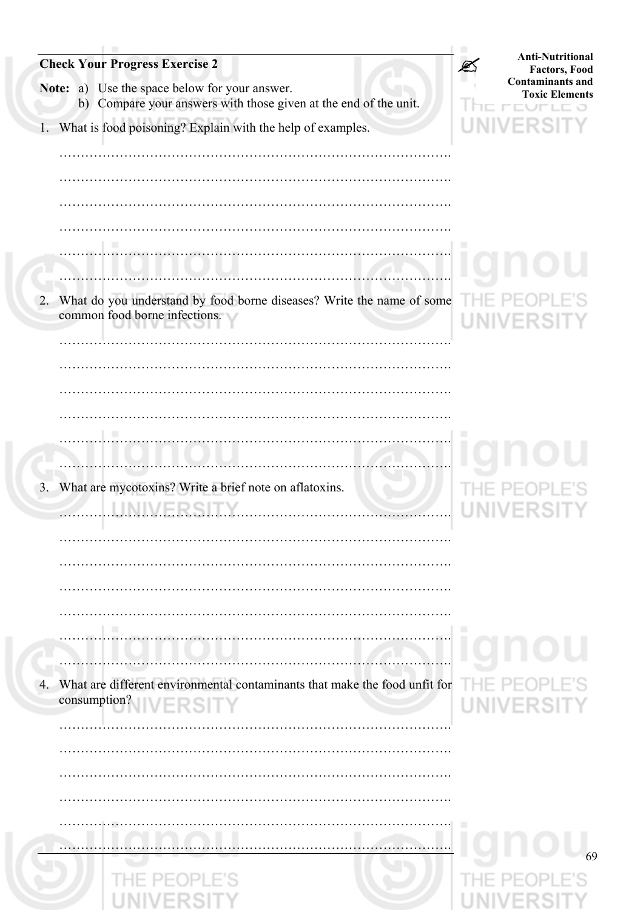| <b>Check Your Progress Exercise 2</b>                                                                             | <b>Anti-Nutritional</b><br><b>Factors, Food</b><br><b>Contaminants and</b> |
|-------------------------------------------------------------------------------------------------------------------|----------------------------------------------------------------------------|
| Note: a) Use the space below for your answer.<br>b) Compare your answers with those given at the end of the unit. | <b>Toxic Elements</b>                                                      |
| What is food poisoning? Explain with the help of examples.<br>$1 -$                                               |                                                                            |
|                                                                                                                   |                                                                            |
|                                                                                                                   |                                                                            |
| What do you understand by food borne diseases? Write the name of some<br>2.<br>common food borne infections.      |                                                                            |
|                                                                                                                   |                                                                            |
|                                                                                                                   |                                                                            |
|                                                                                                                   |                                                                            |
| What are mycotoxins? Write a brief note on aflatoxins.<br>3 <sub>1</sub>                                          |                                                                            |
|                                                                                                                   |                                                                            |
|                                                                                                                   |                                                                            |
|                                                                                                                   |                                                                            |
| What are different environmental contaminants that make the food unfit for<br>4.<br>consumption? IVERSITY         | <b>UNIVERSI</b>                                                            |
|                                                                                                                   |                                                                            |
|                                                                                                                   |                                                                            |
|                                                                                                                   | 69                                                                         |
|                                                                                                                   |                                                                            |
|                                                                                                                   |                                                                            |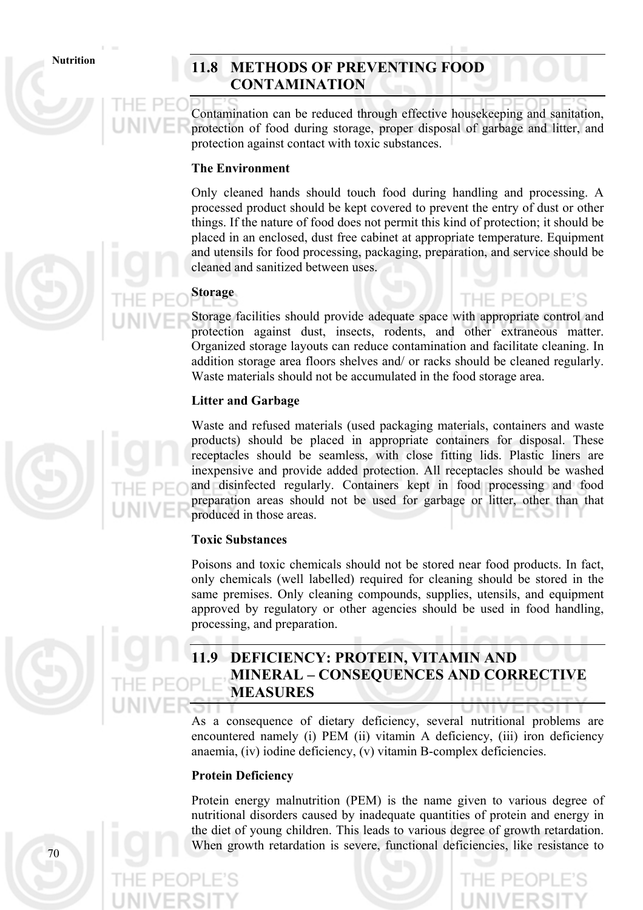# Nutrition 11.8 **METHODS OF PREVENTING FOOD CONTAMINATION**

Contamination can be reduced through effective housekeeping and sanitation, protection of food during storage, proper disposal of garbage and litter, and protection against contact with toxic substances.

# **The Environment**

Only cleaned hands should touch food during handling and processing. A processed product should be kept covered to prevent the entry of dust or other things. If the nature of food does not permit this kind of protection; it should be placed in an enclosed, dust free cabinet at appropriate temperature. Equipment and utensils for food processing, packaging, preparation, and service should be cleaned and sanitized between uses.

# **Storage**

Storage facilities should provide adequate space with appropriate control and protection against dust, insects, rodents, and other extraneous matter. Organized storage layouts can reduce contamination and facilitate cleaning. In addition storage area floors shelves and/ or racks should be cleaned regularly. Waste materials should not be accumulated in the food storage area.

THE PEOPLE'S

# **Litter and Garbage**

Waste and refused materials (used packaging materials, containers and waste products) should be placed in appropriate containers for disposal. These receptacles should be seamless, with close fitting lids. Plastic liners are inexpensive and provide added protection. All receptacles should be washed and disinfected regularly. Containers kept in food processing and food preparation areas should not be used for garbage or litter, other than that produced in those areas.

# **Toxic Substances**

Poisons and toxic chemicals should not be stored near food products. In fact, only chemicals (well labelled) required for cleaning should be stored in the same premises. Only cleaning compounds, supplies, utensils, and equipment approved by regulatory or other agencies should be used in food handling, processing, and preparation.



# **11.9 DEFICIENCY: PROTEIN, VITAMIN AND MINERAL – CONSEQUENCES AND CORRECTIVE MEASURES**

As a consequence of dietary deficiency, several nutritional problems are encountered namely (i) PEM (ii) vitamin A deficiency, (iii) iron deficiency anaemia, (iv) iodine deficiency, (v) vitamin B-complex deficiencies.

# **Protein Deficiency**

Protein energy malnutrition (PEM) is the name given to various degree of nutritional disorders caused by inadequate quantities of protein and energy in the diet of young children. This leads to various degree of growth retardation. When growth retardation is severe, functional deficiencies, like resistance to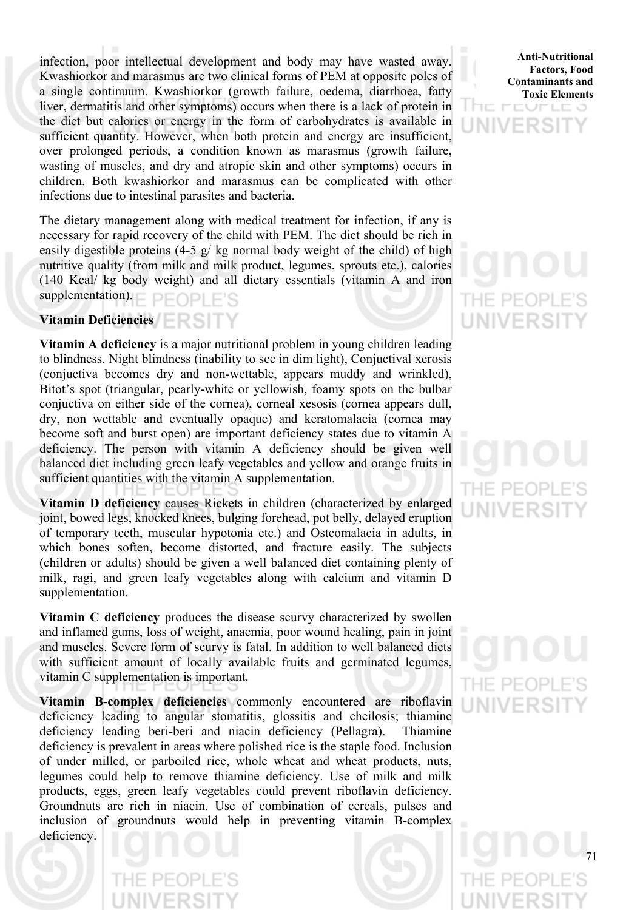infection, poor intellectual development and body may have wasted away. Kwashiorkor and marasmus are two clinical forms of PEM at opposite poles of a single continuum. Kwashiorkor (growth failure, oedema, diarrhoea, fatty liver, dermatitis and other symptoms) occurs when there is a lack of protein in the diet but calories or energy in the form of carbohydrates is available in sufficient quantity. However, when both protein and energy are insufficient, over prolonged periods, a condition known as marasmus (growth failure, wasting of muscles, and dry and atropic skin and other symptoms) occurs in children. Both kwashiorkor and marasmus can be complicated with other infections due to intestinal parasites and bacteria.

The dietary management along with medical treatment for infection, if any is necessary for rapid recovery of the child with PEM. The diet should be rich in easily digestible proteins  $(4-5 \frac{g}{kg})$  kg normal body weight of the child) of high nutritive quality (from milk and milk product, legumes, sprouts etc.), calories (140 Kcal/ kg body weight) and all dietary essentials (vitamin A and iron supplementation). PFOPLE'S

### **Vitamin Deficiencies**

**Vitamin A deficiency** is a major nutritional problem in young children leading to blindness. Night blindness (inability to see in dim light), Conjuctival xerosis (conjuctiva becomes dry and non-wettable, appears muddy and wrinkled), Bitot's spot (triangular, pearly-white or yellowish, foamy spots on the bulbar conjuctiva on either side of the cornea), corneal xesosis (cornea appears dull, dry, non wettable and eventually opaque) and keratomalacia (cornea may become soft and burst open) are important deficiency states due to vitamin A deficiency. The person with vitamin A deficiency should be given well balanced diet including green leafy vegetables and yellow and orange fruits in sufficient quantities with the vitamin A supplementation.

**Vitamin D deficiency** causes Rickets in children (characterized by enlarged joint, bowed legs, knocked knees, bulging forehead, pot belly, delayed eruption of temporary teeth, muscular hypotonia etc.) and Osteomalacia in adults, in which bones soften, become distorted, and fracture easily. The subjects (children or adults) should be given a well balanced diet containing plenty of milk, ragi, and green leafy vegetables along with calcium and vitamin D supplementation.

**Vitamin C deficiency** produces the disease scurvy characterized by swollen and inflamed gums, loss of weight, anaemia, poor wound healing, pain in joint and muscles. Severe form of scurvy is fatal. In addition to well balanced diets with sufficient amount of locally available fruits and germinated legumes, vitamin C supplementation is important.

**Vitamin B-complex deficiencies** commonly encountered are riboflavin deficiency leading to angular stomatitis, glossitis and cheilosis; thiamine deficiency leading beri-beri and niacin deficiency (Pellagra). Thiamine deficiency is prevalent in areas where polished rice is the staple food. Inclusion of under milled, or parboiled rice, whole wheat and wheat products, nuts, legumes could help to remove thiamine deficiency. Use of milk and milk products, eggs, green leafy vegetables could prevent riboflavin deficiency. Groundnuts are rich in niacin. Use of combination of cereals, pulses and inclusion of groundnuts would help in preventing vitamin B-complex deficiency.

**Anti-Nutritional Factors, Food Contaminants and Toxic Elements**



# THE PEOP **UNIVERS**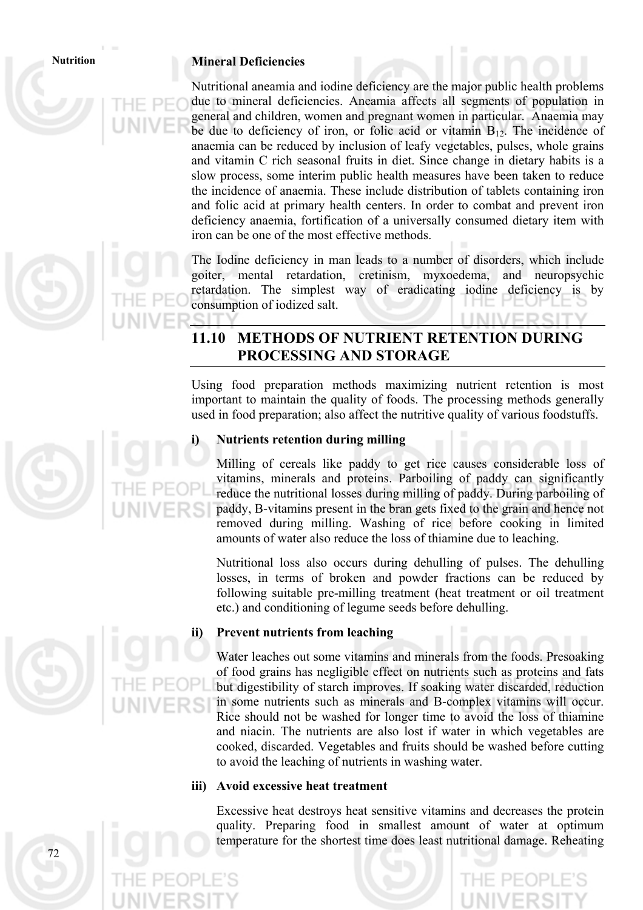### **Nutrition Mineral Deficiencies**

Nutritional aneamia and iodine deficiency are the major public health problems due to mineral deficiencies. Aneamia affects all segments of population in general and children, women and pregnant women in particular. Anaemia may be due to deficiency of iron, or folic acid or vitamin  $B_{12}$ . The incidence of anaemia can be reduced by inclusion of leafy vegetables, pulses, whole grains and vitamin C rich seasonal fruits in diet. Since change in dietary habits is a slow process, some interim public health measures have been taken to reduce the incidence of anaemia. These include distribution of tablets containing iron and folic acid at primary health centers. In order to combat and prevent iron deficiency anaemia, fortification of a universally consumed dietary item with iron can be one of the most effective methods.

The Iodine deficiency in man leads to a number of disorders, which include goiter, mental retardation, cretinism, myxoedema, and neuropsychic retardation. The simplest way of eradicating iodine deficiency is by consumption of iodized salt.

# **11.10 METHODS OF NUTRIENT RETENTION DURING PROCESSING AND STORAGE**

Using food preparation methods maximizing nutrient retention is most important to maintain the quality of foods. The processing methods generally used in food preparation; also affect the nutritive quality of various foodstuffs.

### **i) Nutrients retention during milling**

Milling of cereals like paddy to get rice causes considerable loss of vitamins, minerals and proteins. Parboiling of paddy can significantly reduce the nutritional losses during milling of paddy. During parboiling of paddy, B-vitamins present in the bran gets fixed to the grain and hence not removed during milling. Washing of rice before cooking in limited amounts of water also reduce the loss of thiamine due to leaching.

 Nutritional loss also occurs during dehulling of pulses. The dehulling losses, in terms of broken and powder fractions can be reduced by following suitable pre-milling treatment (heat treatment or oil treatment etc.) and conditioning of legume seeds before dehulling.

### **ii) Prevent nutrients from leaching**

 Water leaches out some vitamins and minerals from the foods. Presoaking of food grains has negligible effect on nutrients such as proteins and fats but digestibility of starch improves. If soaking water discarded, reduction in some nutrients such as minerals and B-complex vitamins will occur. Rice should not be washed for longer time to avoid the loss of thiamine and niacin. The nutrients are also lost if water in which vegetables are cooked, discarded. Vegetables and fruits should be washed before cutting to avoid the leaching of nutrients in washing water.

### **iii) Avoid excessive heat treatment**

Excessive heat destroys heat sensitive vitamins and decreases the protein quality. Preparing food in smallest amount of water at optimum temperature for the shortest time does least nutritional damage. Reheating



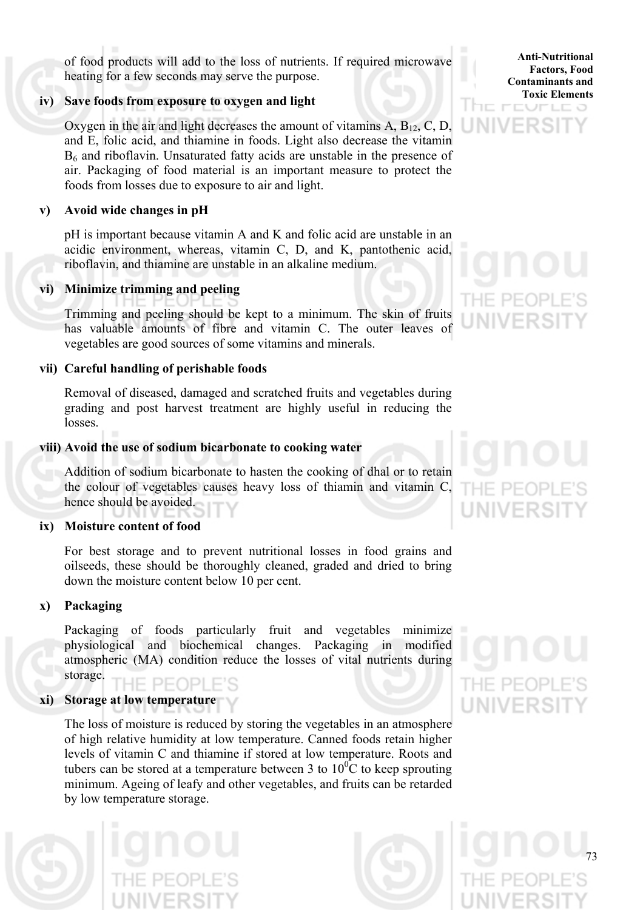of food products will add to the loss of nutrients. If required microwave heating for a few seconds may serve the purpose.

# **iv) Save foods from exposure to oxygen and light**

Oxygen in the air and light decreases the amount of vitamins  $A, B_{12}, C, D, D$ and E, folic acid, and thiamine in foods. Light also decrease the vitamin B6 and riboflavin. Unsaturated fatty acids are unstable in the presence of air. Packaging of food material is an important measure to protect the foods from losses due to exposure to air and light.

# **v) Avoid wide changes in pH**

pH is important because vitamin A and K and folic acid are unstable in an acidic environment, whereas, vitamin C, D, and K, pantothenic acid, riboflavin, and thiamine are unstable in an alkaline medium.

# **vi) Minimize trimming and peeling**

Trimming and peeling should be kept to a minimum. The skin of fruits has valuable amounts of fibre and vitamin C. The outer leaves of vegetables are good sources of some vitamins and minerals.

### **vii) Careful handling of perishable foods**

Removal of diseased, damaged and scratched fruits and vegetables during grading and post harvest treatment are highly useful in reducing the losses.

### **viii) Avoid the use of sodium bicarbonate to cooking water**

Addition of sodium bicarbonate to hasten the cooking of dhal or to retain the colour of vegetables causes heavy loss of thiamin and vitamin C, hence should be avoided.

### **ix) Moisture content of food**

For best storage and to prevent nutritional losses in food grains and oilseeds, these should be thoroughly cleaned, graded and dried to bring down the moisture content below 10 per cent.

### **x) Packaging**

 Packaging of foods particularly fruit and vegetables minimize physiological and biochemical changes. Packaging in modified atmospheric (MA) condition reduce the losses of vital nutrients during storage.

# **xi) Storage at low temperature**

The loss of moisture is reduced by storing the vegetables in an atmosphere of high relative humidity at low temperature. Canned foods retain higher levels of vitamin C and thiamine if stored at low temperature. Roots and tubers can be stored at a temperature between 3 to  $10^{0}$ C to keep sprouting minimum. Ageing of leafy and other vegetables, and fruits can be retarded by low temperature storage.

**Anti-Nutritional Factors, Food Contaminants and Toxic Elements**

ノビーロー

IE PE

**INNERS** 





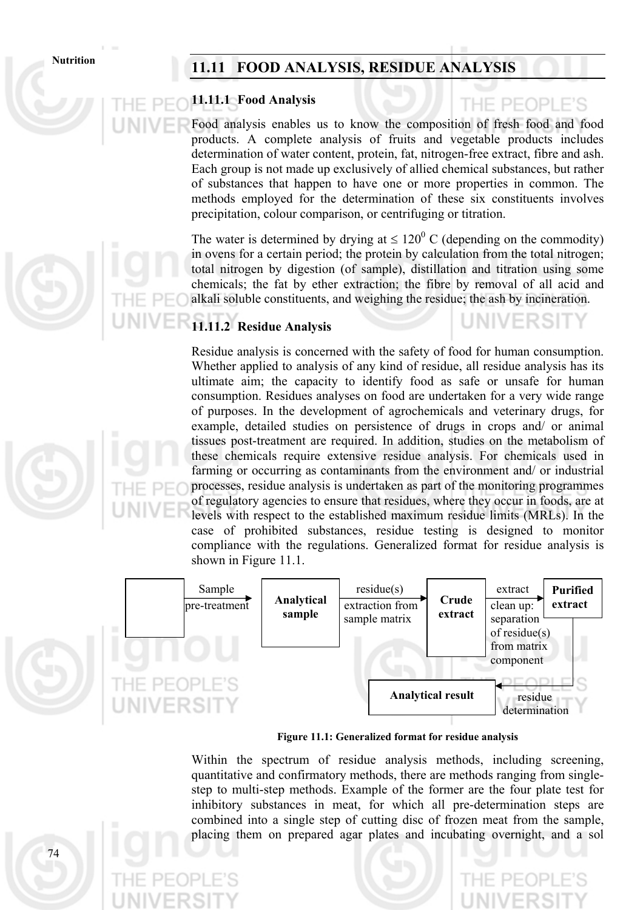# Nutrition 11.11 FOOD ANALYSIS, RESIDUE ANALYSIS

# **11.11.1 Food Analysis**

# Food analysis enables us to know the composition of fresh food and food products. A complete analysis of fruits and vegetable products includes determination of water content, protein, fat, nitrogen-free extract, fibre and ash. Each group is not made up exclusively of allied chemical substances, but rather of substances that happen to have one or more properties in common. The methods employed for the determination of these six constituents involves precipitation, colour comparison, or centrifuging or titration.

PFOPLE'S

The water is determined by drying at  $\leq 120^{\circ}$  C (depending on the commodity) in ovens for a certain period; the protein by calculation from the total nitrogen; total nitrogen by digestion (of sample), distillation and titration using some chemicals; the fat by ether extraction; the fibre by removal of all acid and alkali soluble constituents, and weighing the residue; the ash by incineration.

# **11.11.2 Residue Analysis**

Residue analysis is concerned with the safety of food for human consumption. Whether applied to analysis of any kind of residue, all residue analysis has its ultimate aim; the capacity to identify food as safe or unsafe for human consumption. Residues analyses on food are undertaken for a very wide range of purposes. In the development of agrochemicals and veterinary drugs, for example, detailed studies on persistence of drugs in crops and/ or animal tissues post-treatment are required. In addition, studies on the metabolism of these chemicals require extensive residue analysis. For chemicals used in farming or occurring as contaminants from the environment and/ or industrial processes, residue analysis is undertaken as part of the monitoring programmes of regulatory agencies to ensure that residues, where they occur in foods, are at levels with respect to the established maximum residue limits (MRLs). In the case of prohibited substances, residue testing is designed to monitor compliance with the regulations. Generalized format for residue analysis is shown in Figure 11.1.



**Figure 11.1: Generalized format for residue analysis**

Within the spectrum of residue analysis methods, including screening, quantitative and confirmatory methods, there are methods ranging from singlestep to multi-step methods. Example of the former are the four plate test for inhibitory substances in meat, for which all pre-determination steps are combined into a single step of cutting disc of frozen meat from the sample, placing them on prepared agar plates and incubating overnight, and a sol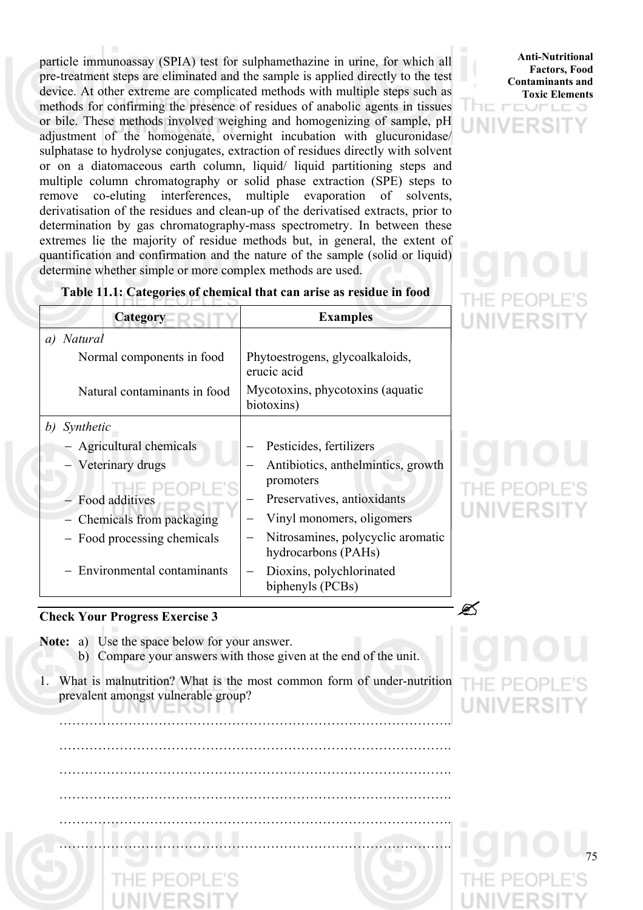particle immunoassay (SPIA) test for sulphamethazine in urine, for which all pre-treatment steps are eliminated and the sample is applied directly to the test device. At other extreme are complicated methods with multiple steps such as methods for confirming the presence of residues of anabolic agents in tissues or bile. These methods involved weighing and homogenizing of sample, pH adjustment of the homogenate, overnight incubation with glucuronidase/ sulphatase to hydrolyse conjugates, extraction of residues directly with solvent or on a diatomaceous earth column, liquid/ liquid partitioning steps and multiple column chromatography or solid phase extraction (SPE) steps to remove co-eluting interferences, multiple evaporation of solvents, derivatisation of the residues and clean-up of the derivatised extracts, prior to determination by gas chromatography-mass spectrometry. In between these extremes lie the majority of residue methods but, in general, the extent of quantification and confirmation and the nature of the sample (solid or liquid) determine whether simple or more complex methods are used.



アニーコ

# **Table 11.1: Categories of chemical that can arise as residue in food**

| Category                     | <b>Examples</b>                                          |  |
|------------------------------|----------------------------------------------------------|--|
| <i>Natural</i><br>a)         |                                                          |  |
| Normal components in food    | Phytoestrogens, glycoalkaloids,<br>erucic acid           |  |
| Natural contaminants in food | Mycotoxins, phycotoxins (aquatic<br>biotoxins)           |  |
| Synthetic<br>b)              |                                                          |  |
| - Agricultural chemicals     | Pesticides, fertilizers                                  |  |
| - Veterinary drugs           | Antibiotics, anthelmintics, growth<br>promoters          |  |
| - Food additives             | Preservatives, antioxidants                              |  |
| Chemicals from packaging     | Vinyl monomers, oligomers                                |  |
| - Food processing chemicals  | Nitrosamines, polycyclic aromatic<br>hydrocarbons (PAHs) |  |
| - Environmental contaminants | Dioxins, polychlorinated<br>biphenyls (PCBs)             |  |

# **Check Your Progress Exercise 3** "

чı

**Note:** a) Use the space below for your answer.

- b) Compare your answers with those given at the end of the unit.
- 1. What is malnutrition? What is the most common form of under-nutrition prevalent amongst vulnerable group?

……………………………………………………………………………….

75

 ………………………………………………………………………………. ………………………………………………………………………………. ………………………………………………………………………………. ………………………………………………………………………………. ……………………………………………………………………………….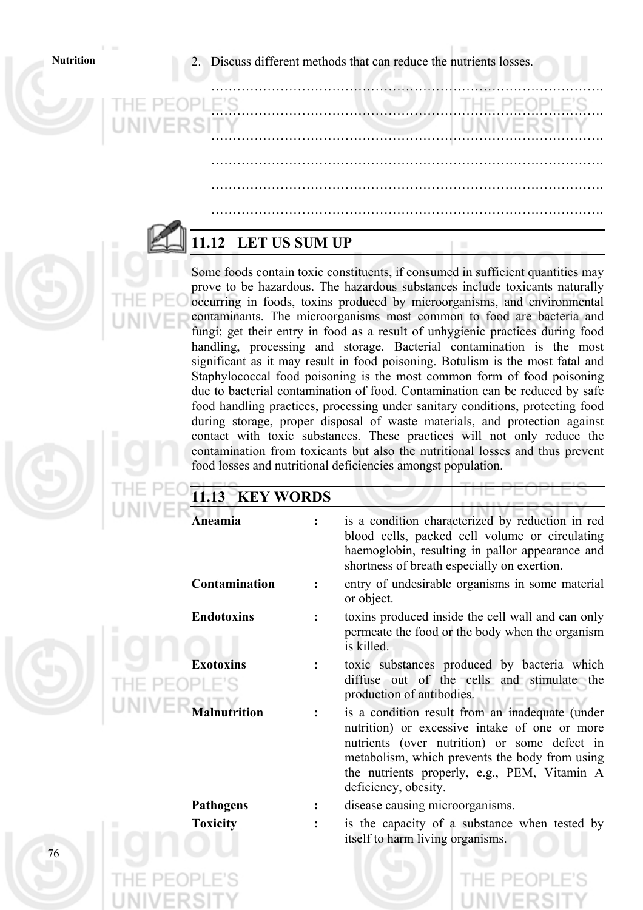**Nutrition** 2. Discuss different methods that can reduce the nutrients losses.

……………………………………………………………………………….

……………………………………………………………………………….

……………………………………………………………………………….

……………………………………………………………………………….

……………………………………………………………………………….

……………………………………………………………………………….

# **11.12 LET US SUM UP**

Some foods contain toxic constituents, if consumed in sufficient quantities may prove to be hazardous. The hazardous substances include toxicants naturally occurring in foods, toxins produced by microorganisms, and environmental contaminants. The microorganisms most common to food are bacteria and fungi; get their entry in food as a result of unhygienic practices during food handling, processing and storage. Bacterial contamination is the most significant as it may result in food poisoning. Botulism is the most fatal and Staphylococcal food poisoning is the most common form of food poisoning due to bacterial contamination of food. Contamination can be reduced by safe food handling practices, processing under sanitary conditions, protecting food during storage, proper disposal of waste materials, and protection against contact with toxic substances. These practices will not only reduce the contamination from toxicants but also the nutritional losses and thus prevent food losses and nutritional deficiencies amongst population.

| 11.13 KEY WORDS |                   |  |                                                                                                                                                                                                                                                                            |
|-----------------|-------------------|--|----------------------------------------------------------------------------------------------------------------------------------------------------------------------------------------------------------------------------------------------------------------------------|
|                 | Aneamia           |  | is a condition characterized by reduction in red<br>blood cells, packed cell volume or circulating<br>haemoglobin, resulting in pallor appearance and<br>shortness of breath especially on exertion.                                                                       |
|                 | Contamination     |  | entry of undesirable organisms in some material<br>or object.                                                                                                                                                                                                              |
|                 | <b>Endotoxins</b> |  | toxins produced inside the cell wall and can only<br>permeate the food or the body when the organism<br>is killed.                                                                                                                                                         |
|                 | <b>Exotoxins</b>  |  | toxic substances produced by bacteria which<br>diffuse out of the cells and stimulate the<br>production of antibodies.                                                                                                                                                     |
|                 | alnutrition       |  | is a condition result from an inadequate (under<br>nutrition) or excessive intake of one or more<br>nutrients (over nutrition) or some defect in<br>metabolism, which prevents the body from using<br>the nutrients properly, e.g., PEM, Vitamin A<br>deficiency, obesity. |
|                 | <b>Pathogens</b>  |  | disease causing microorganisms.                                                                                                                                                                                                                                            |
|                 | <b>Toxicity</b>   |  | is the capacity of a substance when tested by<br>itself to harm living organisms.                                                                                                                                                                                          |
| 76              |                   |  |                                                                                                                                                                                                                                                                            |
|                 |                   |  |                                                                                                                                                                                                                                                                            |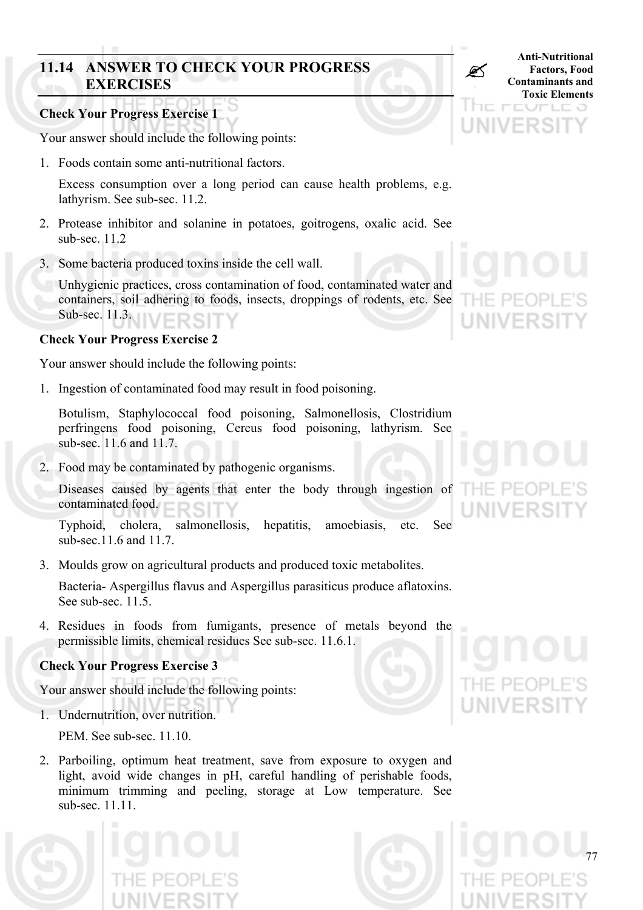# **11.14 ANSWER TO CHECK YOUR PROGRESS<br>EXERCISES EXERCISES**

# **Check Your Progress Exercise 1**

Your answer should include the following points:

1. Foods contain some anti-nutritional factors.

Excess consumption over a long period can cause health problems, e.g. lathyrism. See sub-sec. 11.2.

- 2. Protease inhibitor and solanine in potatoes, goitrogens, oxalic acid. See sub-sec. 11.2
- 3. Some bacteria produced toxins inside the cell wall.

Unhygienic practices, cross contamination of food, contaminated water and containers, soil adhering to foods, insects, droppings of rodents, etc. See Sub-sec. 11.3.

# **Check Your Progress Exercise 2**

Your answer should include the following points:

1. Ingestion of contaminated food may result in food poisoning.

Botulism, Staphylococcal food poisoning, Salmonellosis, Clostridium perfringens food poisoning, Cereus food poisoning, lathyrism. See sub-sec. 11.6 and 11.7.

- 2. Food may be contaminated by pathogenic organisms.
	- Diseases caused by agents that enter the body through ingestion of contaminated food.

Typhoid, cholera, salmonellosis, hepatitis, amoebiasis, etc. See sub-sec.11.6 and 11.7.

3. Moulds grow on agricultural products and produced toxic metabolites.

Bacteria- Aspergillus flavus and Aspergillus parasiticus produce aflatoxins. See sub-sec. 11.5.

4. Residues in foods from fumigants, presence of metals beyond the permissible limits, chemical residues See sub-sec. 11.6.1.

# **Check Your Progress Exercise 3**

Your answer should include the following points:

1. Undernutrition, over nutrition.

PEM. See sub-sec. 11.10.

2. Parboiling, optimum heat treatment, save from exposure to oxygen and light, avoid wide changes in pH, careful handling of perishable foods, minimum trimming and peeling, storage at Low temperature. See sub-sec. 11.11.





**Anti-Nutritional Factors, Food Contaminants and Toxic Elements**

アニロコ

 $\Gamma$   $\Gamma$   $\Gamma$ 

THE.